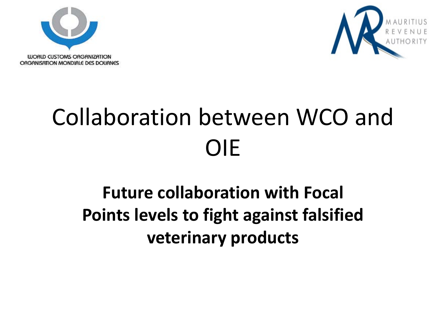



# Collaboration between WCO and OIE

#### **Future collaboration with Focal Points levels to fight against falsified veterinary products**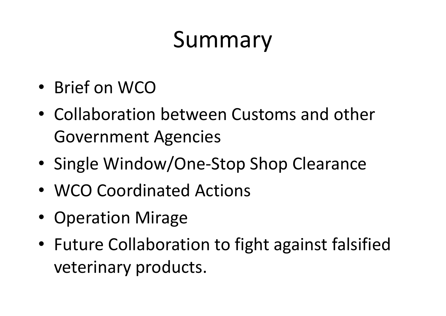# Summary

- Brief on WCO
- Collaboration between Customs and other Government Agencies
- •• Single Window/One-Stop Shop Clearance
- WCO Coordinated Actions
- Operation Mirage
- Future Collaboration to fight against falsified veterinary products.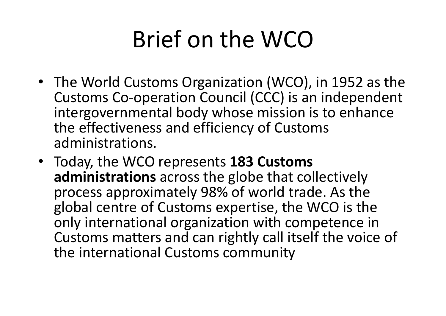## Brief on the WCO

- The World Customs Organization (WCO), in 1952 as the Customs Co-operation Council (CCC) is an independent intergovernmental body whose mission is to enhance the effectiveness and efficiency of Customs administrations.
- Today, the WCO represents **183 Customs administrations** across the globe that collectively process approximately 98% of world trade. As the global centre of Customs expertise, the WCO is the only international organization with competence in Customs matters and can rightly call itself the voice of the international Customs community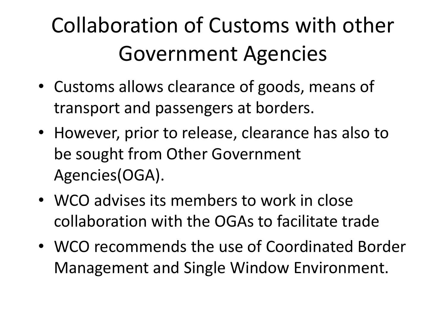### Collaboration of Customs with other Government Agencies

- Customs allows clearance of goods, means of transport and passengers at borders.
- However, prior to release, clearance has also to be sought from Other Government Agencies(OGA).
- WCO advises its members to work in close collaboration with the OGAs to facilitate trade
- WCO recommends the use of Coordinated Border Management and Single Window Environment.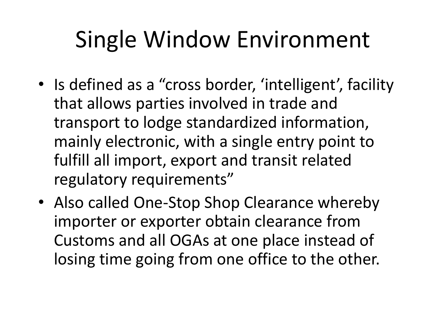## Single Window Environment

- Is defined as a "cross border, 'intelligent', facility that allows parties involved in trade and transport to lodge standardized information, mainly electronic, with a single entry point to fulfill all import, export and transit related regulatory requirements"
- Also called One-Stop Shop Clearance whereby importer or exporter obtain clearance from Customs and all OGAs at one place instead of losing time going from one office to the other.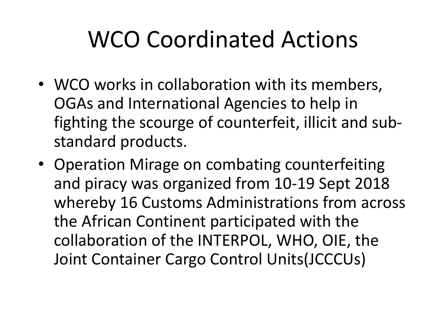# WCO Coordinated Actions

- WCO works in collaboration with its members, OGAs and International Agencies to help in fighting the scourge of counterfeit, illicit and substandard products.
- Operation Mirage on combating counterfeiting and piracy was organized from 10-19 Sept 2018 whereby 16 Customs Administrations from across the African Continent participated with the collaboration of the INTERPOL, WHO, OIE, the Joint Container Cargo Control Units(JCCCUs)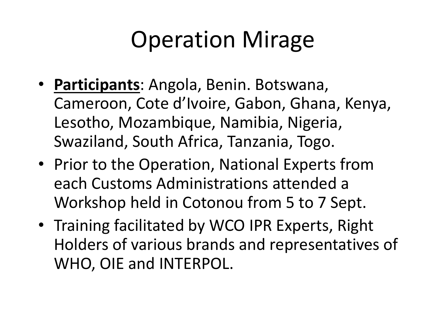## Operation Mirage

- **Participants**: Angola, Benin. Botswana, Cameroon, Cote d'Ivoire, Gabon, Ghana, Kenya, Lesotho, Mozambique, Namibia, Nigeria, Swaziland, South Africa, Tanzania, Togo.
- Prior to the Operation, National Experts from each Customs Administrations attended a Workshop held in Cotonou from 5 to 7 Sept.
- Training facilitated by WCO IPR Experts, Right Holders of various brands and representatives of WHO, OIE and INTERPOL.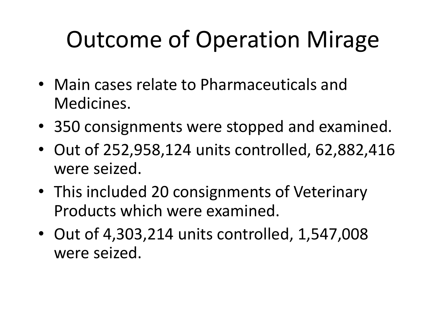# Outcome of Operation Mirage

- Main cases relate to Pharmaceuticals and Medicines.
- 350 consignments were stopped and examined.
- Out of 252,958,124 units controlled, 62,882,416 were seized.
- This included 20 consignments of Veterinary Products which were examined.
- Out of 4,303,214 units controlled, 1,547,008 were seized.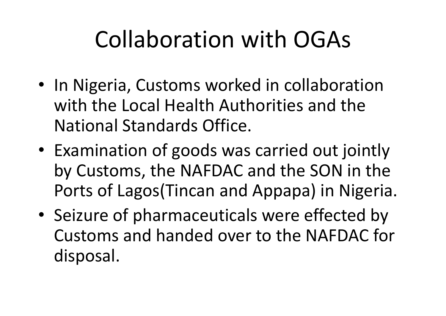## Collaboration with OGAs

- In Nigeria, Customs worked in collaboration with the Local Health Authorities and the National Standards Office.
- Examination of goods was carried out jointly by Customs, the NAFDAC and the SON in the Ports of Lagos(Tincan and Appapa) in Nigeria.
- Seizure of pharmaceuticals were effected by Customs and handed over to the NAFDAC for disposal.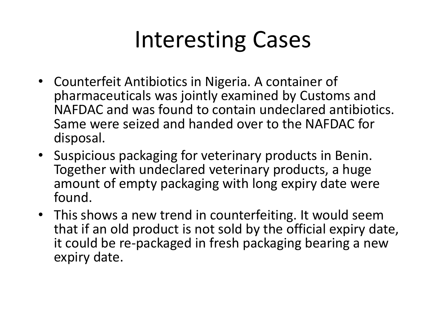#### Interesting Cases

- Counterfeit Antibiotics in Nigeria. A container of pharmaceuticals was jointly examined by Customs and NAFDAC and was found to contain undeclared antibiotics. Same were seized and handed over to the NAFDAC for disposal.
- Suspicious packaging for veterinary products in Benin. Together with undeclared veterinary products, a huge amount of empty packaging with long expiry date were found.
- This shows a new trend in counterfeiting. It would seem that if an old product is not sold by the official expiry date, it could be re-packaged in fresh packaging bearing a new expiry date.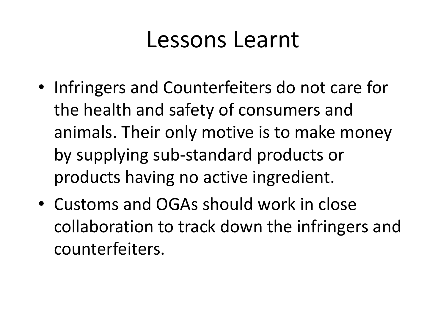#### Lessons Learnt

- Infringers and Counterfeiters do not care for the health and safety of consumers and animals. Their only motive is to make money by supplying sub-standard products or products having no active ingredient.
- Customs and OGAs should work in close collaboration to track down the infringers and counterfeiters.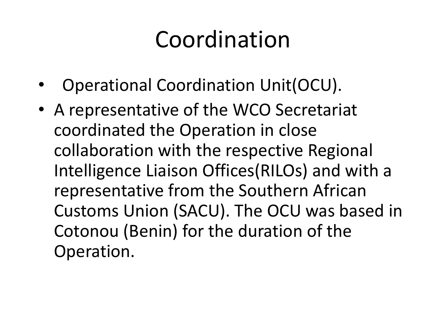#### Coordination

- •Operational Coordination Unit(OCU).
- A representative of the WCO Secretariat coordinated the Operation in close collaboration with the respective Regional Intelligence Liaison Offices(RILOs) and with a representative from the Southern African Customs Union (SACU). The OCU was based in Cotonou (Benin) for the duration of the Operation.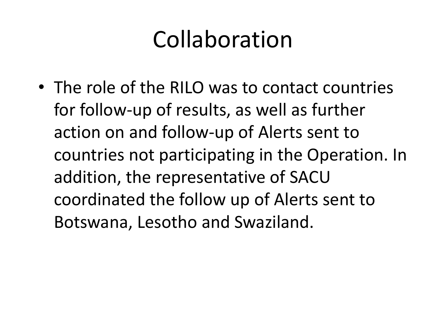#### Collaboration

• The role of the RILO was to contact countries for follow-up of results, as well as further action on and follow-up of Alerts sent to countries not participating in the Operation. In addition, the representative of SACU coordinated the follow up of Alerts sent to Botswana, Lesotho and Swaziland.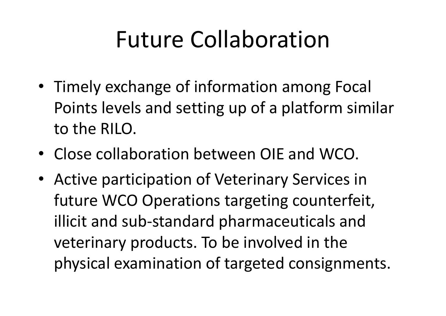#### Future Collaboration

- Timely exchange of information among Focal Points levels and setting up of a platform similar to the RILO.
- Close collaboration between OIE and WCO.
- Active participation of Veterinary Services in future WCO Operations targeting counterfeit, illicit and sub-standard pharmaceuticals and veterinary products. To be involved in the physical examination of targeted consignments.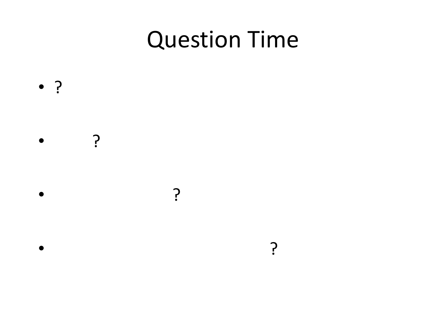#### Question Time